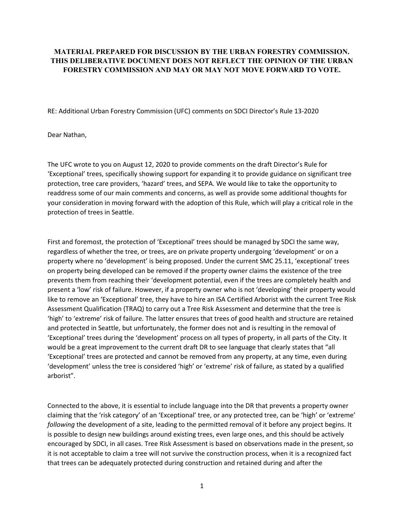## **MATERIAL PREPARED FOR DISCUSSION BY THE URBAN FORESTRY COMMISSION. THIS DELIBERATIVE DOCUMENT DOES NOT REFLECT THE OPINION OF THE URBAN FORESTRY COMMISSION AND MAY OR MAY NOT MOVE FORWARD TO VOTE.**

RE: Additional Urban Forestry Commission (UFC) comments on SDCI Director's Rule 13-2020

Dear Nathan,

The UFC wrote to you on August 12, 2020 to provide comments on the draft Director's Rule for 'Exceptional' trees, specifically showing support for expanding it to provide guidance on significant tree protection, tree care providers, 'hazard' trees, and SEPA. We would like to take the opportunity to readdress some of our main comments and concerns, as well as provide some additional thoughts for your consideration in moving forward with the adoption of this Rule, which will play a critical role in the protection of trees in Seattle.

First and foremost, the protection of 'Exceptional' trees should be managed by SDCI the same way, regardless of whether the tree, or trees, are on private property undergoing 'development' or on a property where no 'development' is being proposed. Under the current SMC 25.11, 'exceptional' trees on property being developed can be removed if the property owner claims the existence of the tree prevents them from reaching their 'development potential, even if the trees are completely health and present a 'low' risk of failure. However, if a property owner who is not 'developing' their property would like to remove an 'Exceptional' tree, they have to hire an ISA Certified Arborist with the current Tree Risk Assessment Qualification (TRAQ) to carry out a Tree Risk Assessment and determine that the tree is 'high' to 'extreme' risk of failure. The latter ensures that trees of good health and structure are retained and protected in Seattle, but unfortunately, the former does not and is resulting in the removal of 'Exceptional' trees during the 'development' process on all types of property, in all parts of the City. It would be a great improvement to the current draft DR to see language that clearly states that "all 'Exceptional' trees are protected and cannot be removed from any property, at any time, even during 'development' unless the tree is considered 'high' or 'extreme' risk of failure, as stated by a qualified arborist".

Connected to the above, it is essential to include language into the DR that prevents a property owner claiming that the 'risk category' of an 'Exceptional' tree, or any protected tree, can be 'high' or 'extreme' *following* the development of a site, leading to the permitted removal of it before any project begins. It is possible to design new buildings around existing trees, even large ones, and this should be actively encouraged by SDCI, in all cases. Tree Risk Assessment is based on observations made in the present, so it is not acceptable to claim a tree will not survive the construction process, when it is a recognized fact that trees can be adequately protected during construction and retained during and after the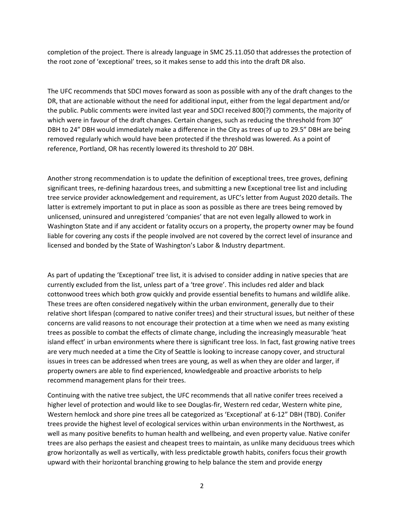completion of the project. There is already language in SMC 25.11.050 that addresses the protection of the root zone of 'exceptional' trees, so it makes sense to add this into the draft DR also.

The UFC recommends that SDCI moves forward as soon as possible with any of the draft changes to the DR, that are actionable without the need for additional input, either from the legal department and/or the public. Public comments were invited last year and SDCI received 800(?) comments, the majority of which were in favour of the draft changes. Certain changes, such as reducing the threshold from 30" DBH to 24" DBH would immediately make a difference in the City as trees of up to 29.5" DBH are being removed regularly which would have been protected if the threshold was lowered. As a point of reference, Portland, OR has recently lowered its threshold to 20' DBH.

Another strong recommendation is to update the definition of exceptional trees, tree groves, defining significant trees, re-defining hazardous trees, and submitting a new Exceptional tree list and including tree service provider acknowledgement and requirement, as UFC's letter from August 2020 details. The latter is extremely important to put in place as soon as possible as there are trees being removed by unlicensed, uninsured and unregistered 'companies' that are not even legally allowed to work in Washington State and if any accident or fatality occurs on a property, the property owner may be found liable for covering any costs if the people involved are not covered by the correct level of insurance and licensed and bonded by the State of Washington's Labor & Industry department.

As part of updating the 'Exceptional' tree list, it is advised to consider adding in native species that are currently excluded from the list, unless part of a 'tree grove'. This includes red alder and black cottonwood trees which both grow quickly and provide essential benefits to humans and wildlife alike. These trees are often considered negatively within the urban environment, generally due to their relative short lifespan (compared to native conifer trees) and their structural issues, but neither of these concerns are valid reasons to not encourage their protection at a time when we need as many existing trees as possible to combat the effects of climate change, including the increasingly measurable 'heat island effect' in urban environments where there is significant tree loss. In fact, fast growing native trees are very much needed at a time the City of Seattle is looking to increase canopy cover, and structural issues in trees can be addressed when trees are young, as well as when they are older and larger, if property owners are able to find experienced, knowledgeable and proactive arborists to help recommend management plans for their trees.

Continuing with the native tree subject, the UFC recommends that all native conifer trees received a higher level of protection and would like to see Douglas-fir, Western red cedar, Western white pine, Western hemlock and shore pine trees all be categorized as 'Exceptional' at 6-12" DBH (TBD). Conifer trees provide the highest level of ecological services within urban environments in the Northwest, as well as many positive benefits to human health and wellbeing, and even property value. Native conifer trees are also perhaps the easiest and cheapest trees to maintain, as unlike many deciduous trees which grow horizontally as well as vertically, with less predictable growth habits, conifers focus their growth upward with their horizontal branching growing to help balance the stem and provide energy